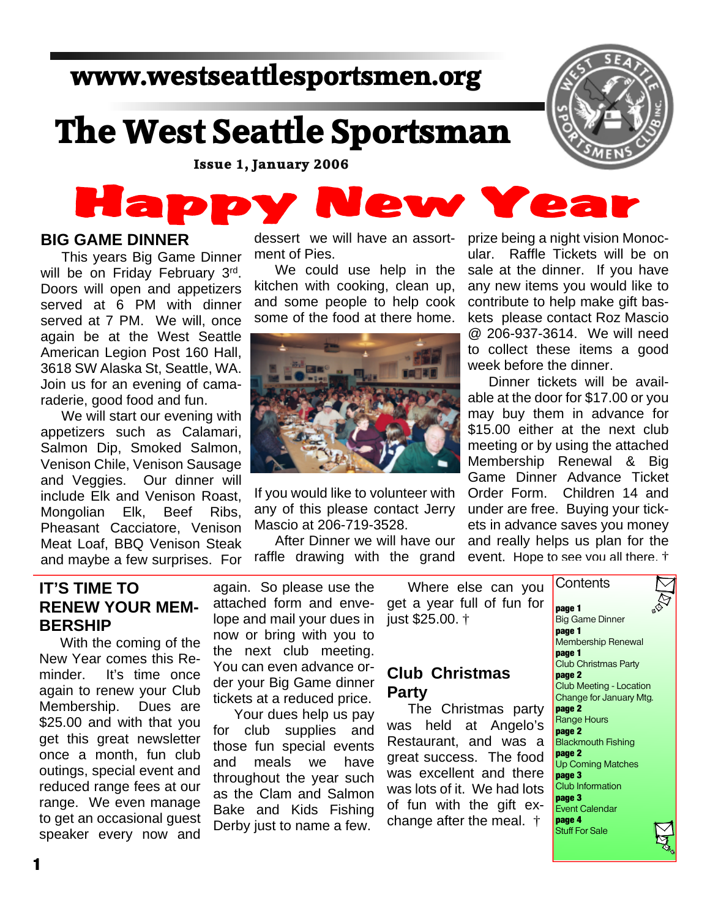## **www.westseattlesportsmen.org**

# **The West Seattle Sportsman**

**Issue 1, January 2006**

## Happ ew Ye

#### **BIG GAME DINNER**

This years Big Game Dinner will be on Friday February 3rd. Doors will open and appetizers served at 6 PM with dinner served at 7 PM. We will, once again be at the West Seattle American Legion Post 160 Hall, 3618 SW Alaska St, Seattle, WA. Join us for an evening of camaraderie, good food and fun.

We will start our evening with appetizers such as Calamari, Salmon Dip, Smoked Salmon, Venison Chile, Venison Sausage and Veggies. Our dinner will include Elk and Venison Roast, Mongolian Elk, Beef Ribs, Pheasant Cacciatore, Venison Meat Loaf, BBQ Venison Steak and maybe a few surprises. For

dessert we will have an assortment of Pies.

We could use help in the kitchen with cooking, clean up, and some people to help cook some of the food at there home.



If you would like to volunteer with any of this please contact Jerry Mascio at 206-719-3528.

After Dinner we will have our raffle drawing with the grand prize being a night vision Monocular. Raffle Tickets will be on sale at the dinner. If you have any new items you would like to contribute to help make gift baskets please contact Roz Mascio @ 206-937-3614. We will need to collect these items a good week before the dinner.

Dinner tickets will be available at the door for \$17.00 or you may buy them in advance for \$15.00 either at the next club meeting or by using the attached Membership Renewal & Big Game Dinner Advance Ticket Order Form. Children 14 and under are free. Buying your tickets in advance saves you money and really helps us plan for the event. Hope to see you all there. †

#### **IT'S TIME TO RENEW YOUR MEM-BERSHIP**

With the coming of the New Year comes this Reminder. It's time once again to renew your Club Membership. Dues are \$25.00 and with that you get this great newsletter once a month, fun club outings, special event and reduced range fees at our range. We even manage to get an occasional guest speaker every now and again. So please use the attached form and envelope and mail your dues in now or bring with you to the next club meeting. You can even advance order your Big Game dinner tickets at a reduced price.

Your dues help us pay for club supplies and those fun special events and meals we have throughout the year such as the Clam and Salmon Bake and Kids Fishing Derby just to name a few.

Where else can you get a year full of fun for just \$25.00. † **Contents** 

#### **Club Christmas Party**

The Christmas party was held at Angelo's Restaurant, and was a great success. The food was excellent and there was lots of it. We had lots of fun with the gift exchange after the meal. †

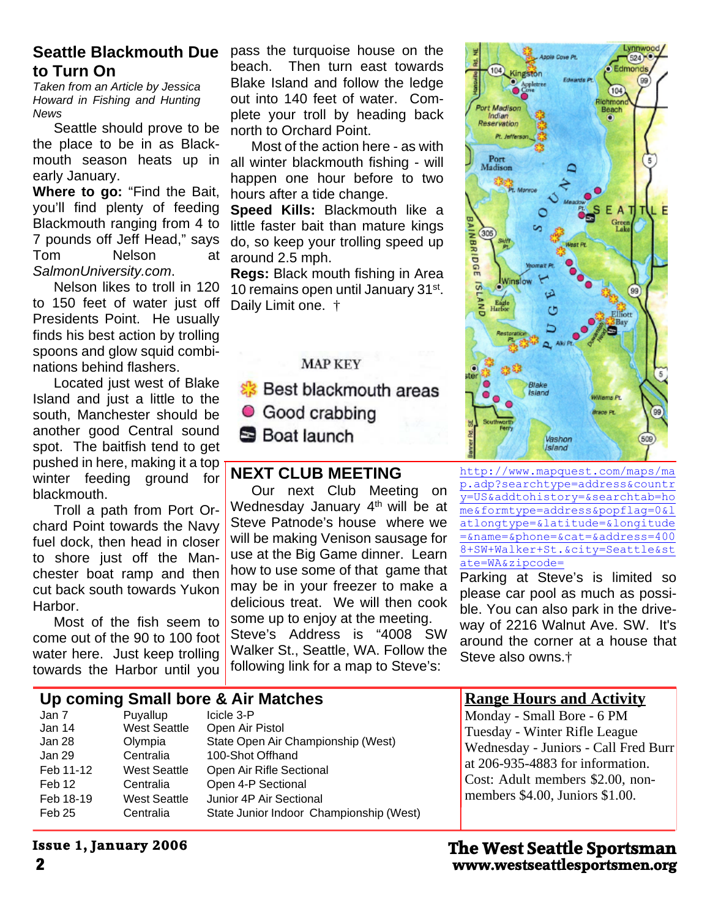#### **Seattle Blackmouth Due to Turn On**

*Taken from an Article by Jessica Howard in Fishing and Hunting News*

Seattle should prove to be the place to be in as Blackmouth season heats up in early January.

**Where to go:** "Find the Bait, you'll find plenty of feeding Blackmouth ranging from 4 to 7 pounds off Jeff Head," says Tom Nelson at *SalmonUniversity.com*.

Nelson likes to troll in 120 to 150 feet of water just off Presidents Point. He usually finds his best action by trolling spoons and glow squid combinations behind flashers.

Located just west of Blake Island and just a little to the south, Manchester should be another good Central sound spot. The baitfish tend to get pushed in here, making it a top winter feeding ground for blackmouth.

Troll a path from Port Orchard Point towards the Navy fuel dock, then head in closer to shore just off the Manchester boat ramp and then cut back south towards Yukon Harbor.

Most of the fish seem to come out of the 90 to 100 foot water here. Just keep trolling towards the Harbor until you

pass the turquoise house on the beach. Then turn east towards Blake Island and follow the ledge out into 140 feet of water. Complete your troll by heading back north to Orchard Point.

Most of the action here - as with all winter blackmouth fishing - will happen one hour before to two hours after a tide change.

**Speed Kills:** Blackmouth like a little faster bait than mature kings do, so keep your trolling speed up around 2.5 mph.

**Regs:** Black mouth fishing in Area 10 remains open until January 31<sup>st</sup>. Daily Limit one.  $\dagger$ 

#### **MAP KEY**

**&** Best blackmouth areas Good crabbing **S** Boat launch

#### **NEXT CLUB MEETING**

Our next Club Meeting on Wednesday January 4<sup>th</sup> will be at Steve Patnode's house where we will be making Venison sausage for use at the Big Game dinner. Learn how to use some of that game that may be in your freezer to make a delicious treat. We will then cook some up to enjoy at the meeting. Steve's Address is "4008 SW Walker St., Seattle, WA. Follow the following link for a map to Steve's:



http://www.mapquest.com/maps/ma p.adp?searchtype=address&countr y=US&addtohistory=&searchtab=ho me&formtype=address&popflag=0&l atlongtype=&latitude=&longitude =&name=&phone=&cat=&address=400 8+SW+Walker+St.&city=Seattle&st ate=WA&zipcode=

Parking at Steve's is limited so please car pool as much as possible. You can also park in the driveway of 2216 Walnut Ave. SW. It's around the corner at a house that Steve also owns.†

#### **Up coming Small bore & Air Matches**

| Jan 7     | Puyallup            | Icicle 3-P                              |
|-----------|---------------------|-----------------------------------------|
| Jan 14    | <b>West Seattle</b> | Open Air Pistol                         |
| Jan 28    | Olympia             | State Open Air Championship (West)      |
| Jan 29    | Centralia           | 100-Shot Offhand                        |
| Feb 11-12 | <b>West Seattle</b> | Open Air Rifle Sectional                |
| Feb 12    | Centralia           | Open 4-P Sectional                      |
| Feb 18-19 | <b>West Seattle</b> | Junior 4P Air Sectional                 |
| Feb 25    | Centralia           | State Junior Indoor Championship (West) |

#### **Range Hours and Activity**

Monday - Small Bore - 6 PM Tuesday - Winter Rifle League Wednesday - Juniors - Call Fred Burr at 206-935-4883 for information. Cost: Adult members \$2.00, nonmembers \$4.00, Juniors \$1.00.

#### **Issue 1, January 2006**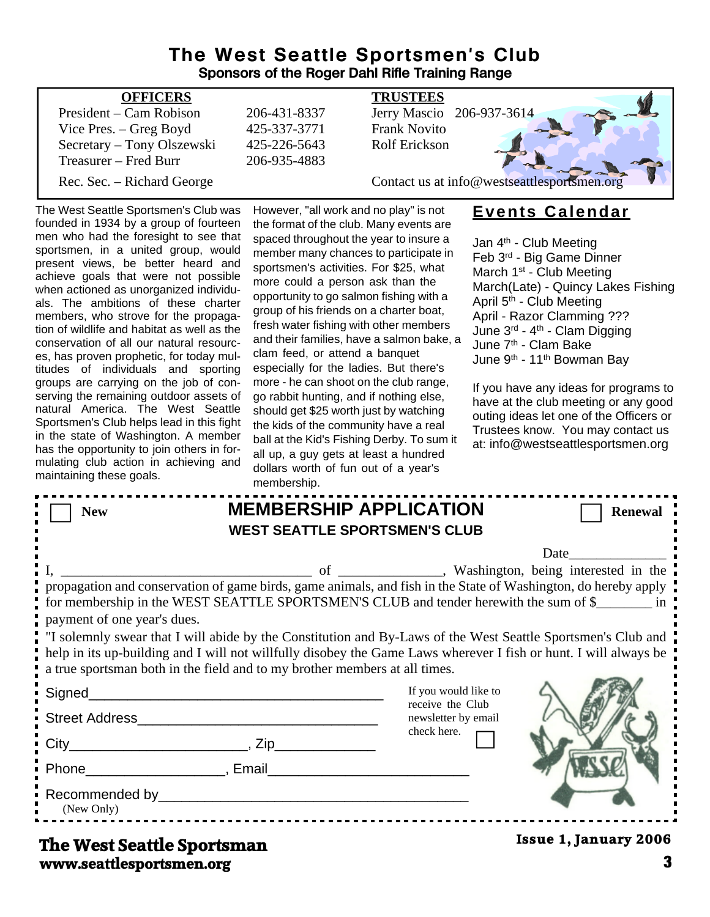#### **The West Seattle Sportsmen's Club Sponsors of the Roger Dahl Rifle Training Range**

| <b>OFFICERS</b>            |              | <b>TRUSTEES</b>                             |
|----------------------------|--------------|---------------------------------------------|
| President – Cam Robison    | 206-431-8337 | Jerry Mascio 206-937-3614                   |
| Vice Pres. – Greg Boyd     | 425-337-3771 | <b>Frank Novito</b>                         |
| Secretary - Tony Olszewski | 425-226-5643 | Rolf Erickson                               |
| Treasurer – Fred Burr      | 206-935-4883 |                                             |
| Rec. Sec. – Richard George |              | Contact us at info@westseattlesportsmen.org |
|                            |              |                                             |

#### The West Seattle Sportsmen's Club was founded in 1934 by a group of fourteen men who had the foresight to see that sportsmen, in a united group, would present views, be better heard and achieve goals that were not possible when actioned as unorganized individuals. The ambitions of these charter members, who strove for the propagation of wildlife and habitat as well as the conservation of all our natural resources, has proven prophetic, for today multitudes of individuals and sporting groups are carrying on the job of conserving the remaining outdoor assets of natural America. The West Seattle Sportsmen's Club helps lead in this fight in the state of Washington. A member has the opportunity to join others in formulating club action in achieving and maintaining these goals.

However, "all work and no play" is not the format of the club. Many events are spaced throughout the year to insure a member many chances to participate in sportsmen's activities. For \$25, what more could a person ask than the opportunity to go salmon fishing with a group of his friends on a charter boat, fresh water fishing with other members and their families, have a salmon bake, a clam feed, or attend a banquet especially for the ladies. But there's more - he can shoot on the club range, go rabbit hunting, and if nothing else, should get \$25 worth just by watching the kids of the community have a real ball at the Kid's Fishing Derby. To sum it all up, a guy gets at least a hundred dollars worth of fun out of a year's membership

#### **Events Calendar**

Jan 4<sup>th</sup> - Club Meeting Feb 3rd - Big Game Dinner March 1<sup>st</sup> - Club Meeting March(Late) - Quincy Lakes Fishing April 5<sup>th</sup> - Club Meeting April - Razor Clamming ??? June 3rd - 4th - Clam Digging June 7<sup>th</sup> - Clam Bake June 9th - 11th Bowman Bay

If you have any ideas for programs to have at the club meeting or any good outing ideas let one of the Officers or Trustees know. You may contact us at: info@westseattlesportsmen.org

|                             | membership.                                                                                                                                                                                                                                                                                                                                                                                                                                                                                                                 |                                                                                |                              |
|-----------------------------|-----------------------------------------------------------------------------------------------------------------------------------------------------------------------------------------------------------------------------------------------------------------------------------------------------------------------------------------------------------------------------------------------------------------------------------------------------------------------------------------------------------------------------|--------------------------------------------------------------------------------|------------------------------|
| <b>New</b>                  | <b>MEMBERSHIP APPLICATION</b><br><b>WEST SEATTLE SPORTSMEN'S CLUB</b>                                                                                                                                                                                                                                                                                                                                                                                                                                                       |                                                                                | <b>Renewal</b>               |
| payment of one year's dues. | propagation and conservation of game birds, game animals, and fish in the State of Washington, do hereby apply<br>for membership in the WEST SEATTLE SPORTSMEN'S CLUB and tender herewith the sum of \$<br>. If solemnly swear that I will abide by the Constitution and By-Laws of the West Seattle Sportsmen's Club and<br>help in its up-building and I will not willfully disobey the Game Laws wherever I fish or hunt. I will always be<br>a true sportsman both in the field and to my brother members at all times. |                                                                                | Date                         |
|                             |                                                                                                                                                                                                                                                                                                                                                                                                                                                                                                                             | If you would like to<br>receive the Club<br>newsletter by email<br>check here. |                              |
| (New Only)                  | Phone Reserves and Phone Reserves and Phone Reserves and Phone Reserves and Phone Reserves and Phone Reserves                                                                                                                                                                                                                                                                                                                                                                                                               |                                                                                |                              |
| The West Seattle Sportsman  |                                                                                                                                                                                                                                                                                                                                                                                                                                                                                                                             |                                                                                | <b>Issue 1, January 2006</b> |

#### **www.seattlesportsmen.org 3 The West Seattle Sportsman**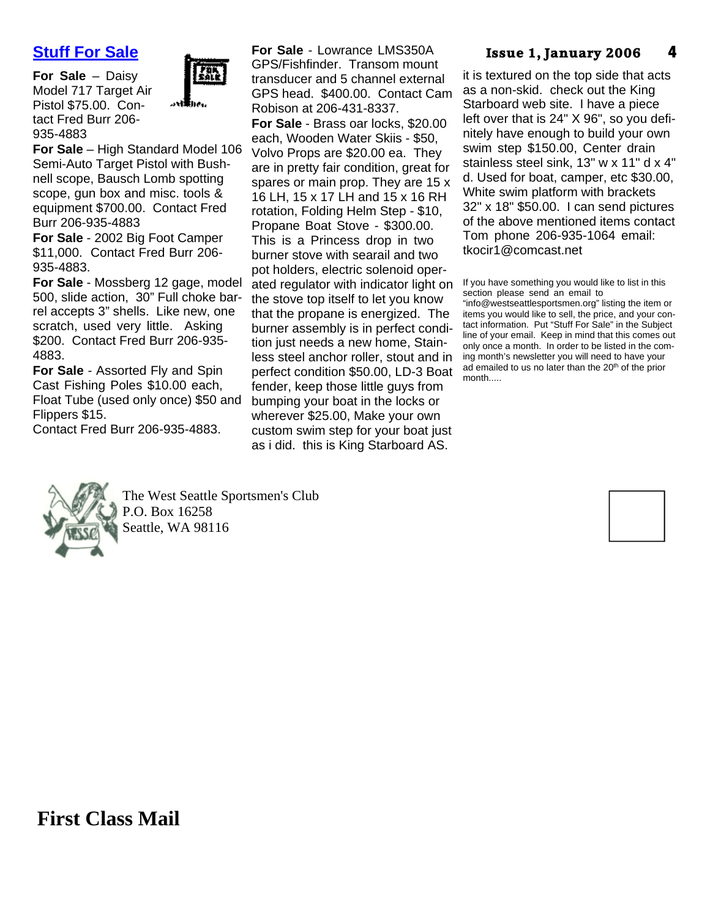### **Stuff For Sale**

**For Sale** – Daisy Model 717 Target Air Pistol \$75.00. Contact Fred Burr 206- 935-4883



**For Sale** – High Standard Model 106 Semi-Auto Target Pistol with Bushnell scope, Bausch Lomb spotting scope, gun box and misc. tools & equipment \$700.00. Contact Fred Burr 206-935-4883

**For Sale** - 2002 Big Foot Camper \$11,000. Contact Fred Burr 206- 935-4883.

**For Sale** - Mossberg 12 gage, model 500, slide action, 30" Full choke barrel accepts 3" shells. Like new, one scratch, used very little. Asking \$200. Contact Fred Burr 206-935- 4883.

**For Sale** - Assorted Fly and Spin Cast Fishing Poles \$10.00 each, Float Tube (used only once) \$50 and Flippers \$15.

Contact Fred Burr 206-935-4883.

**For Sale** - Lowrance LMS350A GPS/Fishfinder. Transom mount transducer and 5 channel external GPS head. \$400.00. Contact Cam Robison at 206-431-8337.

**For Sale** - Brass oar locks, \$20.00 each, Wooden Water Skiis - \$50, Volvo Props are \$20.00 ea. They are in pretty fair condition, great for spares or main prop. They are 15 x 16 LH, 15 x 17 LH and 15 x 16 RH rotation, Folding Helm Step - \$10, Propane Boat Stove - \$300.00. This is a Princess drop in two burner stove with searail and two pot holders, electric solenoid operated regulator with indicator light on the stove top itself to let you know that the propane is energized. The burner assembly is in perfect condition just needs a new home, Stainless steel anchor roller, stout and in perfect condition \$50.00, LD-3 Boat fender, keep those little guys from bumping your boat in the locks or wherever \$25.00, Make your own custom swim step for your boat just as i did. this is King Starboard AS.

#### **4 Issue 1, January 2006**

it is textured on the top side that acts as a non-skid. check out the King Starboard web site. I have a piece left over that is 24" X 96", so you definitely have enough to build your own swim step \$150.00, Center drain stainless steel sink, 13" w x 11" d x 4" d. Used for boat, camper, etc \$30.00, White swim platform with brackets 32" x 18" \$50.00. I can send pictures of the above mentioned items contact Tom phone 206-935-1064 email: tkocir1@comcast.net

If you have something you would like to list in this section please send an email to

"info@westseattlesportsmen.org" listing the item or items you would like to sell, the price, and your contact information. Put "Stuff For Sale" in the Subject line of your email. Keep in mind that this comes out only once a month. In order to be listed in the coming month's newsletter you will need to have your ad emailed to us no later than the 20<sup>th</sup> of the prior month.....



The West Seattle Sportsmen's Club P.O. Box 16258 Seattle, WA 98116

**First Class Mail**